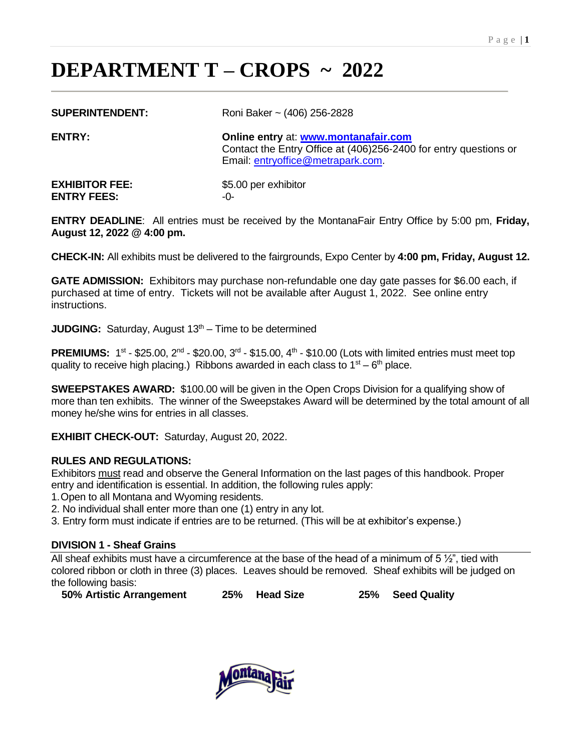# **DEPARTMENT T – CROPS ~ 2022**

| <b>SUPERINTENDENT:</b> |  |
|------------------------|--|
|------------------------|--|

**SUPERINTENDENT:** Roni Baker ~ (406) 256-2828

**ENTRY: Online entry** at: **[www.montanafair.com](http://www.montanafair.com/)** Contact the Entry Office at (406)256-2400 for entry questions or Email: [entryoffice@metrapark.com.](mailto:entryoffice@metrapark.com)

**EXHIBITOR FEE:** \$5.00 per exhibitor **ENTRY FEES:** -0-

**ENTRY DEADLINE**: All entries must be received by the MontanaFair Entry Office by 5:00 pm, **Friday, August 12, 2022 @ 4:00 pm.**

**CHECK-IN:** All exhibits must be delivered to the fairgrounds, Expo Center by **4:00 pm, Friday, August 12.**

**GATE ADMISSION:** Exhibitors may purchase non-refundable one day gate passes for \$6.00 each, if purchased at time of entry. Tickets will not be available after August 1, 2022. See online entry instructions.

**JUDGING:** Saturday, August 13<sup>th</sup> – Time to be determined

**PREMIUMS:**  $1^{st}$  - \$25.00,  $2^{nd}$  - \$20.00,  $3^{rd}$  - \$15.00,  $4^{th}$  - \$10.00 (Lots with limited entries must meet top quality to receive high placing.) Ribbons awarded in each class to  $1<sup>st</sup> - 6<sup>th</sup>$  place.

**SWEEPSTAKES AWARD:** \$100.00 will be given in the Open Crops Division for a qualifying show of more than ten exhibits. The winner of the Sweepstakes Award will be determined by the total amount of all money he/she wins for entries in all classes.

**EXHIBIT CHECK-OUT:** Saturday, August 20, 2022.

# **RULES AND REGULATIONS:**

Exhibitors must read and observe the General Information on the last pages of this handbook. Proper entry and identification is essential. In addition, the following rules apply:

1.Open to all Montana and Wyoming residents.

2. No individual shall enter more than one (1) entry in any lot.

3. Entry form must indicate if entries are to be returned. (This will be at exhibitor's expense.)

#### **DIVISION 1 - Sheaf Grains**

All sheaf exhibits must have a circumference at the base of the head of a minimum of  $5\frac{1}{2}$ ", tied with colored ribbon or cloth in three (3) places. Leaves should be removed. Sheaf exhibits will be judged on the following basis:

**50% Artistic Arrangement 25% Head Size 25% Seed Quality**

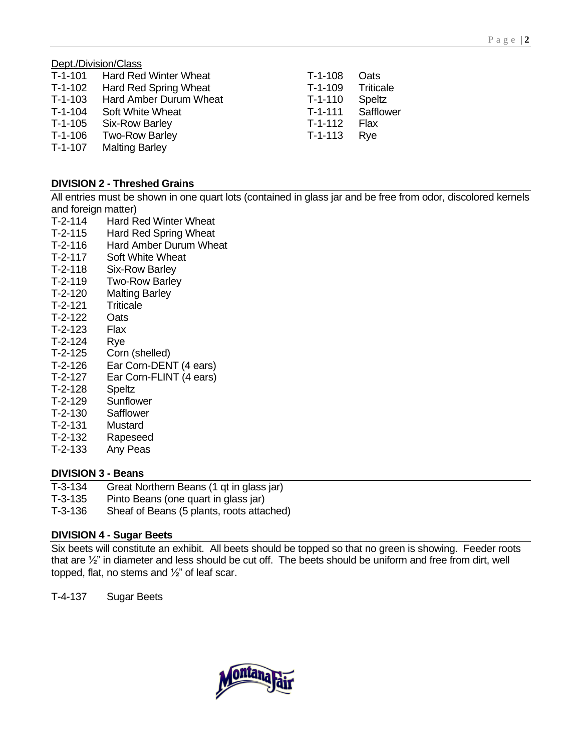## Dept./Division/Class

| T-1-101   | <b>Hard Red Winter Wheat</b> | $T-1-108$ | Oats             |
|-----------|------------------------------|-----------|------------------|
| T-1-102   | Hard Red Spring Wheat        | $T-1-109$ | <b>Triticale</b> |
| $T-1-103$ | Hard Amber Durum Wheat       | $T-1-110$ | Speltz           |
| $T-1-104$ | Soft White Wheat             | $T-1-111$ | Safflower        |
| T-1-105   | Six-Row Barley               | $T-1-112$ | Flax             |
| T-1-106   | <b>Two-Row Barley</b>        | $T-1-113$ | Rve              |
| $T-1-107$ | <b>Malting Barley</b>        |           |                  |
|           |                              |           |                  |

## **DIVISION 2 - Threshed Grains**

All entries must be shown in one quart lots (contained in glass jar and be free from odor, discolored kernels and foreign matter)

- T-2-114 Hard Red Winter Wheat
- T-2-115 Hard Red Spring Wheat
- T-2-116 Hard Amber Durum Wheat
- T-2-117 Soft White Wheat
- T-2-118 Six-Row Barley
- T-2-119 Two-Row Barley
- T-2-120 Malting Barley
- T-2-121 Triticale
- T-2-122 Oats
- T-2-123 Flax
- T-2-124 Rye
- T-2-125 Corn (shelled)
- T-2-126 Ear Corn-DENT (4 ears)
- T-2-127 Ear Corn-FLINT (4 ears)
- T-2-128 Speltz
- T-2-129 Sunflower
- T-2-130 Safflower
- T-2-131 Mustard
- T-2-132 Rapeseed
- T-2-133 Any Peas

#### **DIVISION 3 - Beans**

- T-3-134 Great Northern Beans (1 qt in glass jar)
- T-3-135 Pinto Beans (one quart in glass jar)
- T-3-136 Sheaf of Beans (5 plants, roots attached)

#### **DIVISION 4 - Sugar Beets**

Six beets will constitute an exhibit. All beets should be topped so that no green is showing. Feeder roots that are ½" in diameter and less should be cut off. The beets should be uniform and free from dirt, well topped, flat, no stems and ½" of leaf scar.

T-4-137 Sugar Beets